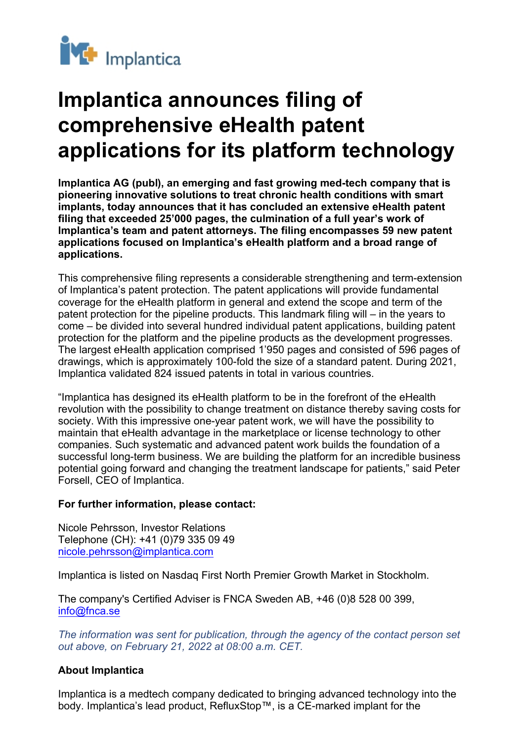

## **Implantica announces filing of comprehensive eHealth patent applications for its platform technology**

**Implantica AG (publ), an emerging and fast growing med-tech company that is pioneering innovative solutions to treat chronic health conditions with smart implants, today announces that it has concluded an extensive eHealth patent filing that exceeded 25'000 pages, the culmination of a full year's work of Implantica's team and patent attorneys. The filing encompasses 59 new patent applications focused on Implantica's eHealth platform and a broad range of applications.**

This comprehensive filing represents a considerable strengthening and term-extension of Implantica's patent protection. The patent applications will provide fundamental coverage for the eHealth platform in general and extend the scope and term of the patent protection for the pipeline products. This landmark filing will – in the years to come – be divided into several hundred individual patent applications, building patent protection for the platform and the pipeline products as the development progresses. The largest eHealth application comprised 1'950 pages and consisted of 596 pages of drawings, which is approximately 100-fold the size of a standard patent. During 2021, Implantica validated 824 issued patents in total in various countries.

"Implantica has designed its eHealth platform to be in the forefront of the eHealth revolution with the possibility to change treatment on distance thereby saving costs for society. With this impressive one-year patent work, we will have the possibility to maintain that eHealth advantage in the marketplace or license technology to other companies. Such systematic and advanced patent work builds the foundation of a successful long-term business. We are building the platform for an incredible business potential going forward and changing the treatment landscape for patients," said Peter Forsell, CEO of Implantica.

## **For further information, please contact:**

Nicole Pehrsson, Investor Relations Telephone (CH): +41 (0)79 335 09 49 [nicole.pehrsson@implantica.com](mailto:nicole.pehrsson@implantica.com)

Implantica is listed on Nasdaq First North Premier Growth Market in Stockholm.

The company's Certified Adviser is FNCA Sweden AB, +46 (0)8 528 00 399, [info@fnca.se](mailto:info@fnca.se)

*The information was sent for publication, through the agency of the contact person set out above, on February 21, 2022 at 08:00 a.m. CET.*

## **About Implantica**

Implantica is a medtech company dedicated to bringing advanced technology into the body. Implantica's lead product, RefluxStop™, is a CE-marked implant for the